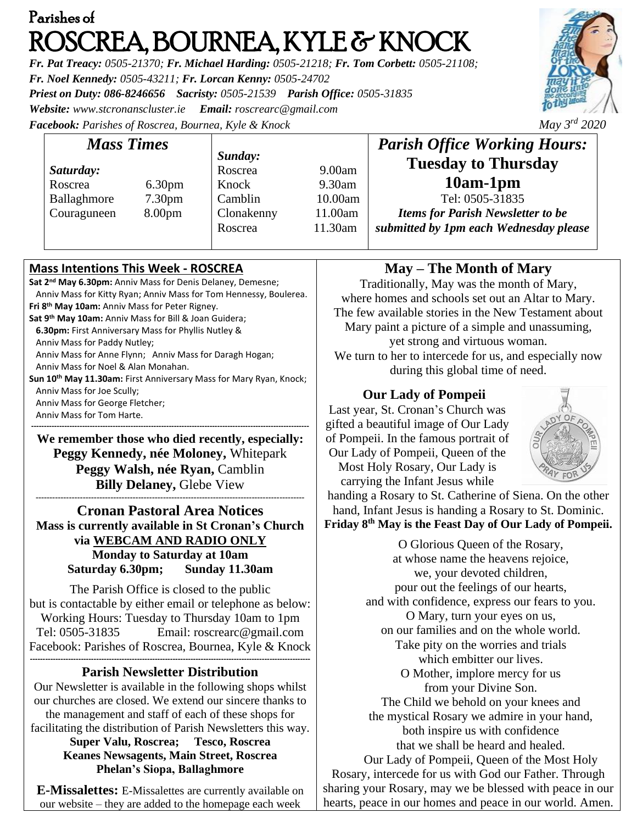# Parishes of ROSCREA, BOURNEA, KYLE & KNOCK

*Fr. Pat Treacy: 0505-21370; Fr. Michael Harding: 0505-21218; Fr. Tom Corbett: 0505-21108; Fr. Noel Kennedy: 0505-43211; Fr. Lorcan Kenny: 0505-24702 Priest on Duty: 086-8246656 Sacristy: 0505-21539 Parish Office: 0505-31835 Website: [www.stcronanscluster.ie](http://www.stcronanscluster.ie/) Email: [roscrearc@gmail.com](mailto:roscrearc@gmail.com) Facebook: Parishes of Roscrea, Bournea, Kyle & Knock May 3rd 2020* 

*Sunday:*

Roscrea 9.00am Knock 9.30am Camblin 10.00am Clonakenny 11.00am Roscrea 11.30am

## **Mass Intentions This Week - ROSCREA**

*Mass Times*

Roscrea 6.30pm Ballaghmore 7.30pm Couraguneen 8.00pm

*Saturday:*

**Sat 2nd May 6.30pm:** Anniv Mass for Denis Delaney, Demesne; Anniv Mass for Kitty Ryan; Anniv Mass for Tom Hennessy, Boulerea. **Fri 8th May 10am:** Anniv Mass for Peter Rigney. **Sat 9th May 10am:** Anniv Mass for Bill & Joan Guidera;  **6.30pm:** First Anniversary Mass for Phyllis Nutley & Anniv Mass for Paddy Nutley; Anniv Mass for Anne Flynn; Anniv Mass for Daragh Hogan; Anniv Mass for Noel & Alan Monahan. **Sun 10th May 11.30am:** First Anniversary Mass for Mary Ryan, Knock; Anniv Mass for Joe Scully; Anniv Mass for George Fletcher; Anniv Mass for Tom Harte.

**------------------------------------------------------------------------------------------------------------- We remember those who died recently, especially: Peggy Kennedy, née Moloney,** Whitepark **Peggy Walsh, née Ryan,** Camblin **Billy Delaney,** Glebe View

**------------------------------------------------------------------------------------------------- Cronan Pastoral Area Notices Mass is currently available in St Cronan's Church via WEBCAM AND RADIO ONLY Monday to Saturday at 10am Saturday 6.30pm; Sunday 11.30am**

The Parish Office is closed to the public but is contactable by either email or telephone as below: Working Hours: Tuesday to Thursday 10am to 1pm Tel: 0505-31835 Email: [roscrearc@gmail.com](mailto:roscrearc@gmail.com) Facebook: Parishes of Roscrea, Bournea, Kyle & Knock **--------------------------------------------------------------------------------------------------------------**

### **Parish Newsletter Distribution**

Our Newsletter is available in the following shops whilst our churches are closed. We extend our sincere thanks to the management and staff of each of these shops for facilitating the distribution of Parish Newsletters this way.

> **Super Valu, Roscrea; Tesco, Roscrea Keanes Newsagents, Main Street, Roscrea Phelan's Siopa, Ballaghmore**

**E-Missalettes:** E-Missalettes are currently available on our website – they are added to the homepage each week

### **May – The Month of Mary**

*Parish Office Working Hours:* **Tuesday to Thursday 10am-1pm** Tel: 0505-31835 *Items for Parish Newsletter to be submitted by 1pm each Wednesday please*

Traditionally, May was the month of Mary, where homes and schools set out an Altar to Mary. The few available stories in the New Testament about Mary paint a picture of a simple and unassuming, yet strong and virtuous woman. We turn to her to intercede for us, and especially now during this global time of need.

#### **Our Lady of Pompeii**

Last year, St. Cronan's Church was gifted a beautiful image of Our Lady of Pompeii. In the famous portrait of Our Lady of Pompeii, Queen of the Most Holy Rosary, Our Lady is carrying the Infant Jesus while



handing a Rosary to St. Catherine of Siena. On the other hand, Infant Jesus is handing a Rosary to St. Dominic. **Friday 8th May is the Feast Day of Our Lady of Pompeii.**

O Glorious Queen of the Rosary, at whose name the heavens rejoice, we, your devoted children, pour out the feelings of our hearts, and with confidence, express our fears to you. O Mary, turn your eyes on us, on our families and on the whole world. Take pity on the worries and trials which embitter our lives. O Mother, implore mercy for us from your Divine Son. The Child we behold on your knees and the mystical Rosary we admire in your hand, both inspire us with confidence that we shall be heard and healed. Our Lady of Pompeii, Queen of the Most Holy Rosary, intercede for us with God our Father. Through sharing your Rosary, may we be blessed with peace in our

hearts, peace in our homes and peace in our world. Amen.